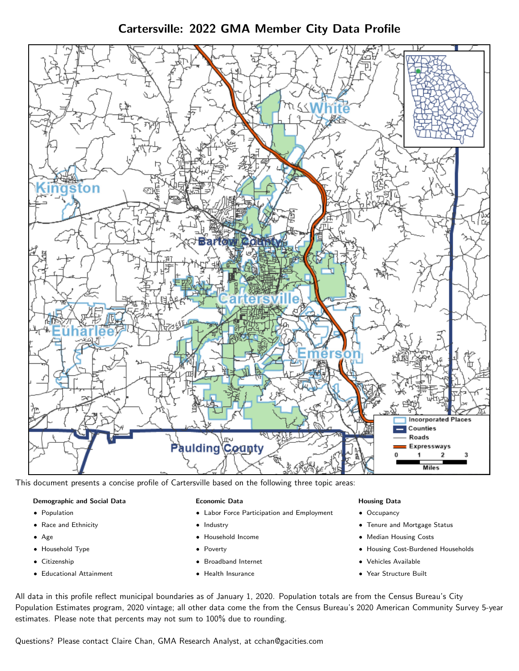Cartersville: 2022 GMA Member City Data Profile



This document presents a concise profile of Cartersville based on the following three topic areas:

# Demographic and Social Data

- **•** Population
- Race and Ethnicity
- Age
- Household Type
- **Citizenship**
- Educational Attainment

#### Economic Data

- Labor Force Participation and Employment
- Industry
- Household Income
- Poverty
- Broadband Internet
- Health Insurance

#### Housing Data

- Occupancy
- Tenure and Mortgage Status
- Median Housing Costs
- Housing Cost-Burdened Households
- Vehicles Available
- Year Structure Built

All data in this profile reflect municipal boundaries as of January 1, 2020. Population totals are from the Census Bureau's City Population Estimates program, 2020 vintage; all other data come the from the Census Bureau's 2020 American Community Survey 5-year estimates. Please note that percents may not sum to 100% due to rounding.

Questions? Please contact Claire Chan, GMA Research Analyst, at [cchan@gacities.com.](mailto:cchan@gacities.com)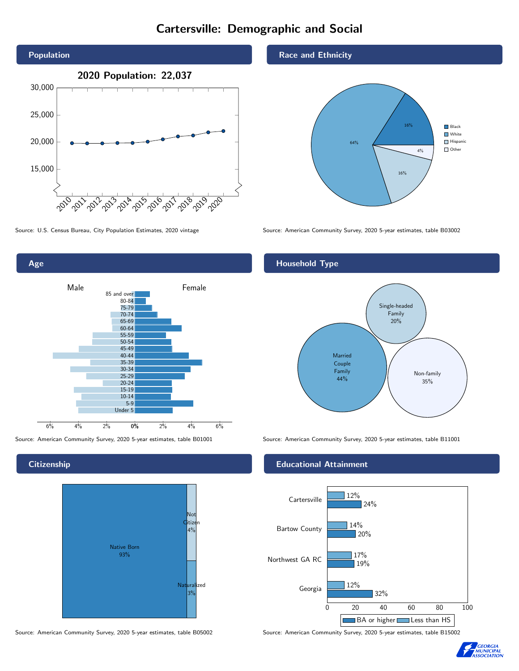# Cartersville: Demographic and Social



Age 0% 2% 4% 6% Male **Female** 6% 4% 2% 85 and over 80-84 75-79 70-74 65-69 60-64 55-59 50-54 45-49 40-44 35-39 30-34 25-29 20-24 15-19  $10-14$ 5-9 Under 5

### **Citizenship**



Source: American Community Survey, 2020 5-year estimates, table B05002 Source: American Community Survey, 2020 5-year estimates, table B15002

#### Race and Ethnicity



Source: U.S. Census Bureau, City Population Estimates, 2020 vintage Source: American Community Survey, 2020 5-year estimates, table B03002

# Household Type



Source: American Community Survey, 2020 5-year estimates, table B01001 Source: American Community Survey, 2020 5-year estimates, table B11001

#### Educational Attainment



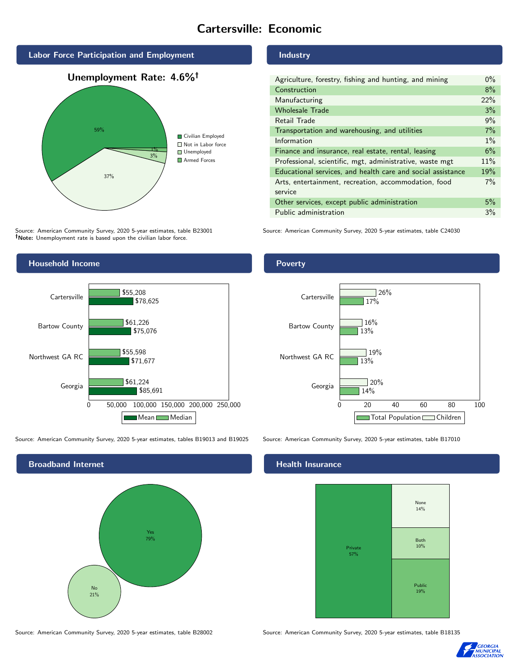# Cartersville: Economic





Source: American Community Survey, 2020 5-year estimates, table B23001 Note: Unemployment rate is based upon the civilian labor force.

### Industry

| Agriculture, forestry, fishing and hunting, and mining      | $0\%$ |
|-------------------------------------------------------------|-------|
| Construction                                                | 8%    |
| Manufacturing                                               | 22%   |
| <b>Wholesale Trade</b>                                      | 3%    |
| Retail Trade                                                | 9%    |
| Transportation and warehousing, and utilities               | 7%    |
| Information                                                 | $1\%$ |
| Finance and insurance, real estate, rental, leasing         | 6%    |
| Professional, scientific, mgt, administrative, waste mgt    | 11%   |
| Educational services, and health care and social assistance | 19%   |
| Arts, entertainment, recreation, accommodation, food        | $7\%$ |
| service                                                     |       |
| Other services, except public administration                | 5%    |
| Public administration                                       | 3%    |

Source: American Community Survey, 2020 5-year estimates, table C24030



Source: American Community Survey, 2020 5-year estimates, tables B19013 and B19025 Source: American Community Survey, 2020 5-year estimates, table B17010



Source: American Community Survey, 2020 5-year estimates, table B28002 Source: American Community Survey, 2020 5-year estimates, table B18135

### Poverty



### Health Insurance